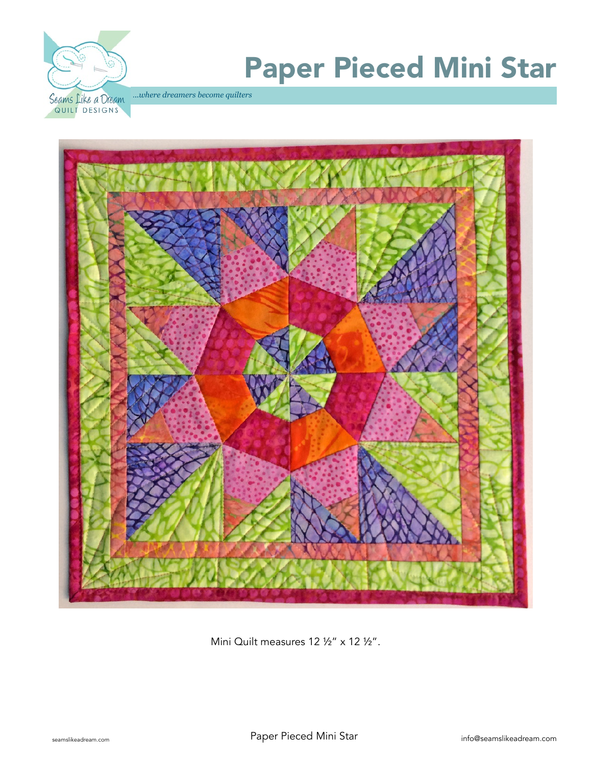

# Paper Pieced Mini Star

.*..where dreamers become quilters* 



Mini Quilt measures 12 1/2" x 12 1/2".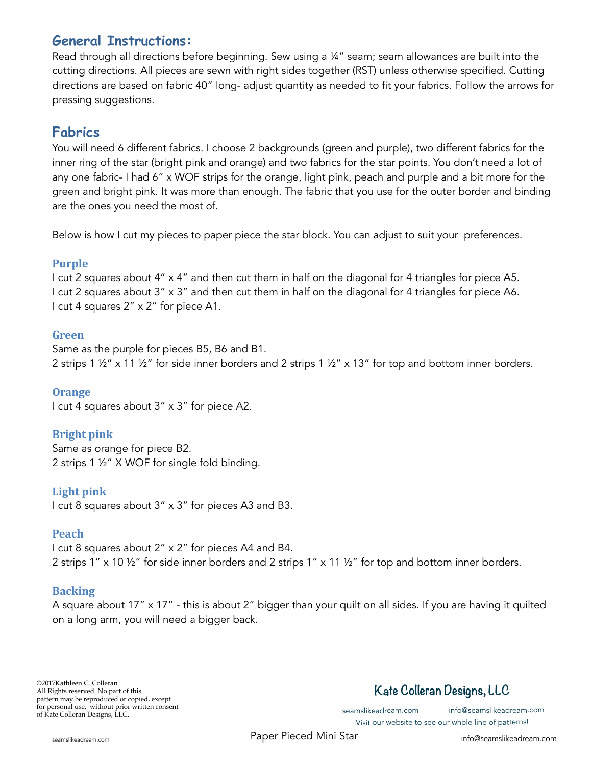## **General Instructions:**

Read through all directions before beginning. Sew using a ¼" seam; seam allowances are built into the cutting directions. All pieces are sewn with right sides together (RST) unless otherwise specified. Cutting directions are based on fabric 40" long- adjust quantity as needed to fit your fabrics. Follow the arrows for pressing suggestions.

## **Fabrics**

You will need 6 different fabrics. I choose 2 backgrounds (green and purple), two different fabrics for the inner ring of the star (bright pink and orange) and two fabrics for the star points. You don't need a lot of any one fabric- I had 6" x WOF strips for the orange, light pink, peach and purple and a bit more for the green and bright pink. It was more than enough. The fabric that you use for the outer border and binding are the ones you need the most of.

Below is how I cut my pieces to paper piece the star block. You can adjust to suit your preferences.

#### **Purple**

I cut 2 squares about 4" x 4" and then cut them in half on the diagonal for 4 triangles for piece A5. I cut 2 squares about 3" x 3" and then cut them in half on the diagonal for 4 triangles for piece A6. I cut 4 squares 2" x 2" for piece A1.

#### **Green**

Same as the purple for pieces B5, B6 and B1. 2 strips 1 ½" x 11 ½" for side inner borders and 2 strips 1 ½" x 13" for top and bottom inner borders.

#### **Orange**

I cut 4 squares about 3" x 3" for piece A2.

#### **Bright** pink

Same as orange for piece B2. 2 strips 1 ½" X WOF for single fold binding.

#### Light pink

I cut 8 squares about 3" x 3" for pieces A3 and B3.

#### **Peach**

I cut 8 squares about 2" x 2" for pieces A4 and B4. 2 strips 1" x 10 ½" for side inner borders and 2 strips 1" x 11 ½" for top and bottom inner borders.

#### **Backing**

A square about 17" x 17" - this is about 2" bigger than your quilt on all sides. If you are having it quilted on a long arm, you will need a bigger back.

# **Kate Colleran Designs, LLC**

Visit our website to see our whole line of patterns!

seamslikeadream.com info@seamslikeadream.com

seamslikeadream.com **Example 2018** Paper Pieced Mini Star info@seamslikeadream.com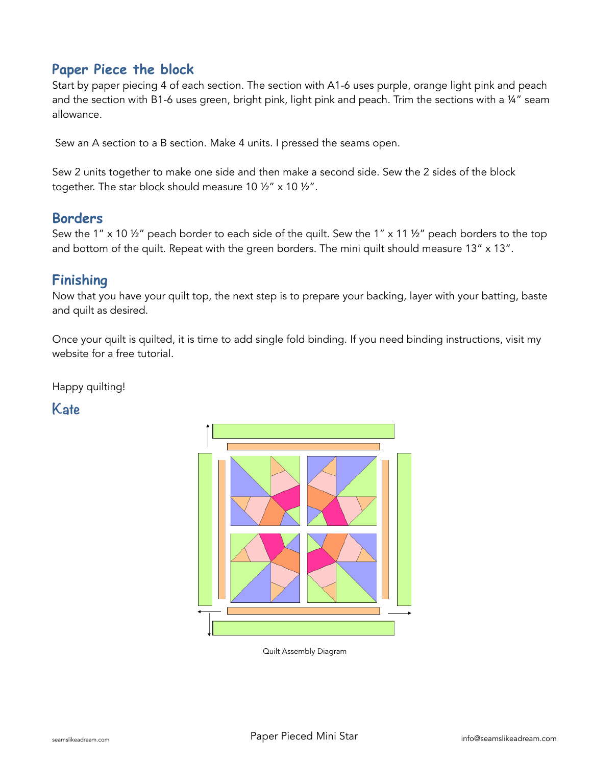## **Paper Piece the block**

Start by paper piecing 4 of each section. The section with A1-6 uses purple, orange light pink and peach and the section with B1-6 uses green, bright pink, light pink and peach. Trim the sections with a 14" seam allowance.

Sew an A section to a B section. Make 4 units. I pressed the seams open.

Sew 2 units together to make one side and then make a second side. Sew the 2 sides of the block together. The star block should measure 10 1/2" x 10 1/2".

### **Borders**

Sew the 1" x 10 ½" peach border to each side of the quilt. Sew the 1" x 11 ½" peach borders to the top and bottom of the quilt. Repeat with the green borders. The mini quilt should measure 13" x 13".

## **Finishing**

Now that you have your quilt top, the next step is to prepare your backing, layer with your batting, baste and quilt as desired.

Once your quilt is quilted, it is time to add single fold binding. If you need binding instructions, visit my website for a free tutorial.

Happy quilting!

**Kate** 



Quilt Assembly Diagram